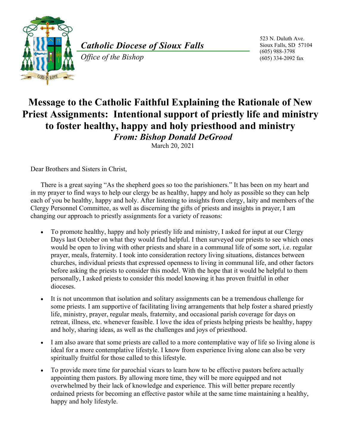

*Catholic Diocese of Sioux Falls* 

*Office of the Bishop* 

523 N. Duluth Ave. Sioux Falls, SD 57104 (605) 988-3798 (605) 334-2092 fax

## **Message to the Catholic Faithful Explaining the Rationale of New Priest Assignments: Intentional support of priestly life and ministry to foster healthy, happy and holy priesthood and ministry** *From: Bishop Donald DeGrood*

March 20, 2021

Dear Brothers and Sisters in Christ,

There is a great saying "As the shepherd goes so too the parishioners." It has been on my heart and in my prayer to find ways to help our clergy be as healthy, happy and holy as possible so they can help each of you be healthy, happy and holy. After listening to insights from clergy, laity and members of the Clergy Personnel Committee, as well as discerning the gifts of priests and insights in prayer, I am changing our approach to priestly assignments for a variety of reasons:

- To promote healthy, happy and holy priestly life and ministry, I asked for input at our Clergy Days last October on what they would find helpful. I then surveyed our priests to see which ones would be open to living with other priests and share in a communal life of some sort, i.e. regular prayer, meals, fraternity. I took into consideration rectory living situations, distances between churches, individual priests that expressed openness to living in communal life, and other factors before asking the priests to consider this model. With the hope that it would be helpful to them personally, I asked priests to consider this model knowing it has proven fruitful in other dioceses.
- It is not uncommon that isolation and solitary assignments can be a tremendous challenge for some priests. I am supportive of facilitating living arrangements that help foster a shared priestly life, ministry, prayer, regular meals, fraternity, and occasional parish coverage for days on retreat, illness, etc. whenever feasible. I love the idea of priests helping priests be healthy, happy and holy, sharing ideas, as well as the challenges and joys of priesthood.
- I am also aware that some priests are called to a more contemplative way of life so living alone is ideal for a more contemplative lifestyle. I know from experience living alone can also be very spiritually fruitful for those called to this lifestyle.
- To provide more time for parochial vicars to learn how to be effective pastors before actually appointing them pastors. By allowing more time, they will be more equipped and not overwhelmed by their lack of knowledge and experience. This will better prepare recently ordained priests for becoming an effective pastor while at the same time maintaining a healthy, happy and holy lifestyle.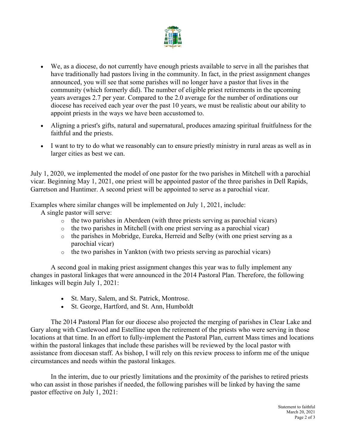

- We, as a diocese, do not currently have enough priests available to serve in all the parishes that have traditionally had pastors living in the community. In fact, in the priest assignment changes announced, you will see that some parishes will no longer have a pastor that lives in the community (which formerly did). The number of eligible priest retirements in the upcoming years averages 2.7 per year. Compared to the 2.0 average for the number of ordinations our diocese has received each year over the past 10 years, we must be realistic about our ability to appoint priests in the ways we have been accustomed to.
- Aligning a priest's gifts, natural and supernatural, produces amazing spiritual fruitfulness for the faithful and the priests.
- I want to try to do what we reasonably can to ensure priestly ministry in rural areas as well as in larger cities as best we can.

July 1, 2020, we implemented the model of one pastor for the two parishes in Mitchell with a parochial vicar. Beginning May 1, 2021, one priest will be appointed pastor of the three parishes in Dell Rapids, Garretson and Huntimer. A second priest will be appointed to serve as a parochial vicar.

Examples where similar changes will be implemented on July 1, 2021, include:

A single pastor will serve:

- $\circ$  the two parishes in Aberdeen (with three priests serving as parochial vicars)
- o the two parishes in Mitchell (with one priest serving as a parochial vicar)
- o the parishes in Mobridge, Eureka, Herreid and Selby (with one priest serving as a parochial vicar)
- o the two parishes in Yankton (with two priests serving as parochial vicars)

A second goal in making priest assignment changes this year was to fully implement any changes in pastoral linkages that were announced in the 2014 Pastoral Plan. Therefore, the following linkages will begin July 1, 2021:

- St. Mary, Salem, and St. Patrick, Montrose.
- St. George, Hartford, and St. Ann, Humboldt

The 2014 Pastoral Plan for our diocese also projected the merging of parishes in Clear Lake and Gary along with Castlewood and Estelline upon the retirement of the priests who were serving in those locations at that time. In an effort to fully-implement the Pastoral Plan, current Mass times and locations within the pastoral linkages that include these parishes will be reviewed by the local pastor with assistance from diocesan staff. As bishop, I will rely on this review process to inform me of the unique circumstances and needs within the pastoral linkages.

In the interim, due to our priestly limitations and the proximity of the parishes to retired priests who can assist in those parishes if needed, the following parishes will be linked by having the same pastor effective on July 1, 2021: